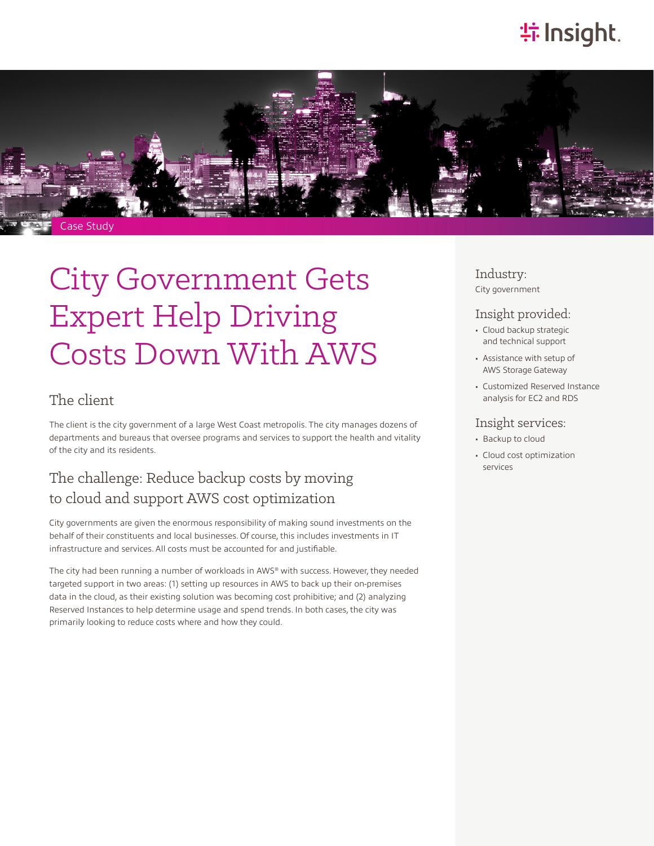# **特Insight**.



# City Government Gets Expert Help Driving Costs Down With AWS

#### The client

The client is the city government of a large West Coast metropolis. The city manages dozens of departments and bureaus that oversee programs and services to support the health and vitality of the city and its residents.

## The challenge: Reduce backup costs by moving to cloud and support AWS cost optimization

City governments are given the enormous responsibility of making sound investments on the behalf of their constituents and local businesses. Of course, this includes investments in IT infrastructure and services. All costs must be accounted for and justifiable.

The city had been running a number of workloads in AWS® with success. However, they needed targeted support in two areas: (1) setting up resources in AWS to back up their on-premises data in the cloud, as their existing solution was becoming cost prohibitive; and (2) analyzing Reserved Instances to help determine usage and spend trends. In both cases, the city was primarily looking to reduce costs where and how they could.

#### Industry: City government

#### Insight provided:

- Cloud backup strategic and technical support
- Assistance with setup of AWS Storage Gateway
- Customized Reserved Instance analysis for EC2 and RDS

#### Insight services:

- Backup to cloud
- Cloud cost optimization services